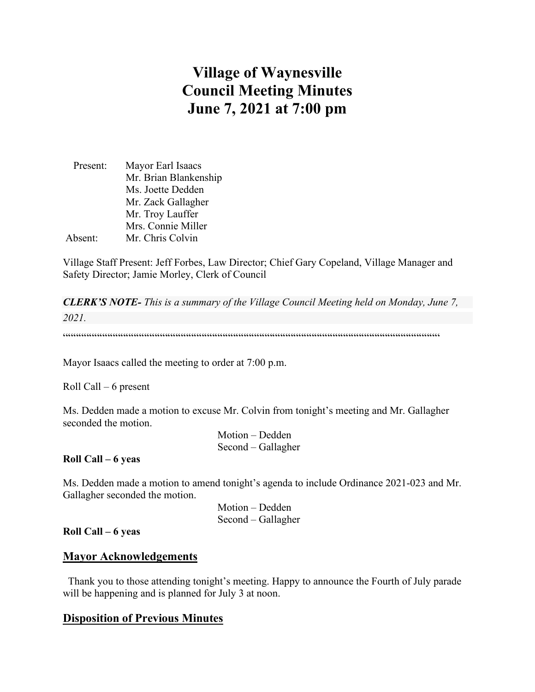# **Village of Waynesville Council Meeting Minutes June 7, 2021 at 7:00 pm**

| Present: | Mayor Earl Isaacs     |
|----------|-----------------------|
|          | Mr. Brian Blankenship |
|          | Ms. Joette Dedden     |
|          | Mr. Zack Gallagher    |
|          | Mr. Troy Lauffer      |
|          | Mrs. Connie Miller    |
| Absent:  | Mr. Chris Colvin      |

Village Staff Present: Jeff Forbes, Law Director; Chief Gary Copeland, Village Manager and Safety Director; Jamie Morley, Clerk of Council

*CLERK'S NOTE- This is a summary of the Village Council Meeting held on Monday, June 7, 2021.* 

 $\label{prop:main} \hspace{15pt} \hspace{15pt} \textbf{if} \hspace{10pt} \begin{minipage}{0.9\textwidth} \centering \begin{minipage}{0.9\textwidth} \centering \centering \end{minipage} \hspace{10pt} \textbf{if} \hspace{10pt} \begin{minipage}{0.9\textwidth} \centering \centering \end{minipage} \hspace{10pt} \textbf{if} \hspace{10pt} \begin{minipage}{0.9\textwidth} \centering \centering \end{minipage} \hspace{10pt} \textbf{if} \hspace{10pt} \begin{minipage}{0.9\textwidth} \centering \center$ 

Mayor Isaacs called the meeting to order at 7:00 p.m.

Roll Call – 6 present

Ms. Dedden made a motion to excuse Mr. Colvin from tonight's meeting and Mr. Gallagher seconded the motion.

> Motion – Dedden Second – Gallagher

**Roll Call – 6 yeas**

Ms. Dedden made a motion to amend tonight's agenda to include Ordinance 2021-023 and Mr. Gallagher seconded the motion.

> Motion – Dedden Second – Gallagher

**Roll Call – 6 yeas**

### **Mayor Acknowledgements**

 Thank you to those attending tonight's meeting. Happy to announce the Fourth of July parade will be happening and is planned for July 3 at noon.

# **Disposition of Previous Minutes**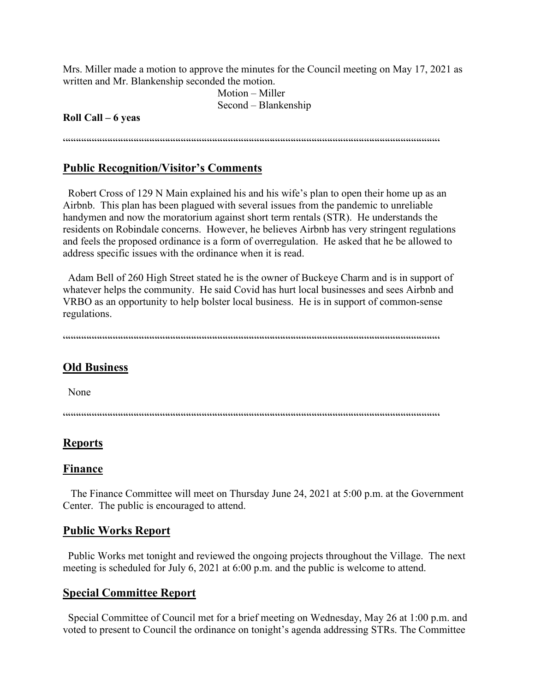Mrs. Miller made a motion to approve the minutes for the Council meeting on May 17, 2021 as written and Mr. Blankenship seconded the motion.

> Motion – Miller Second – Blankenship

#### **Roll Call – 6 yeas**

 $\label{prop:main} \hspace{1.5cm} \hspace{1.5cm} \hspace{1.5cm} \hspace{1.5cm} \hspace{1.5cm} \hspace{1.5cm} \hspace{1.5cm} \hspace{1.5cm} \hspace{1.5cm} \hspace{1.5cm} \hspace{1.5cm} \hspace{1.5cm} \hspace{1.5cm} \hspace{1.5cm} \hspace{1.5cm} \hspace{1.5cm} \hspace{1.5cm} \hspace{1.5cm} \hspace{1.5cm} \hspace{1.5cm} \hspace{1.5cm} \hspace{1.5cm} \hspace{1.5cm} \hspace{1.$ 

### **Public Recognition/Visitor's Comments**

 Robert Cross of 129 N Main explained his and his wife's plan to open their home up as an Airbnb. This plan has been plagued with several issues from the pandemic to unreliable handymen and now the moratorium against short term rentals (STR). He understands the residents on Robindale concerns. However, he believes Airbnb has very stringent regulations and feels the proposed ordinance is a form of overregulation. He asked that he be allowed to address specific issues with the ordinance when it is read.

Adam Bell of 260 High Street stated he is the owner of Buckeye Charm and is in support of whatever helps the community. He said Covid has hurt local businesses and sees Airbnb and VRBO as an opportunity to help bolster local business. He is in support of common-sense regulations.

""""""""""""""""""""""""""""""""""""""""""""""""""""""""""""""""""""""""

### **Old Business**

None

 $\label{prop:main} \hspace{1.5cm} \hspace{1.5cm} \textcolor{blue}{\bullet} \hspace{1.5cm} \textcolor{blue}{\bullet} \hspace{1.5cm} \textcolor{blue}{\bullet} \hspace{1.5cm} \textcolor{blue}{\bullet} \hspace{1.5cm} \textcolor{blue}{\bullet} \hspace{1.5cm} \textcolor{blue}{\bullet} \hspace{1.5cm} \textcolor{blue}{\bullet} \hspace{1.5cm} \textcolor{blue}{\bullet} \hspace{1.5cm} \textcolor{blue}{\bullet} \hspace{1.5cm} \textcolor{blue}{\bullet} \hspace{1.5cm} \textcolor{blue}{\bullet} \hspace{1.$ 

#### **Reports**

#### **Finance**

 The Finance Committee will meet on Thursday June 24, 2021 at 5:00 p.m. at the Government Center. The public is encouraged to attend.

#### **Public Works Report**

 Public Works met tonight and reviewed the ongoing projects throughout the Village. The next meeting is scheduled for July 6, 2021 at 6:00 p.m. and the public is welcome to attend.

#### **Special Committee Report**

 Special Committee of Council met for a brief meeting on Wednesday, May 26 at 1:00 p.m. and voted to present to Council the ordinance on tonight's agenda addressing STRs. The Committee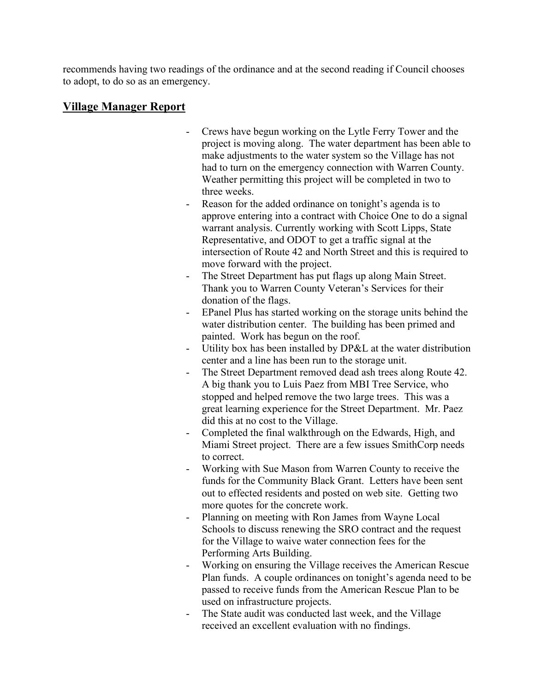recommends having two readings of the ordinance and at the second reading if Council chooses to adopt, to do so as an emergency.

# **Village Manager Report**

- Crews have begun working on the Lytle Ferry Tower and the project is moving along. The water department has been able to make adjustments to the water system so the Village has not had to turn on the emergency connection with Warren County. Weather permitting this project will be completed in two to three weeks.
- Reason for the added ordinance on tonight's agenda is to approve entering into a contract with Choice One to do a signal warrant analysis. Currently working with Scott Lipps, State Representative, and ODOT to get a traffic signal at the intersection of Route 42 and North Street and this is required to move forward with the project.
- The Street Department has put flags up along Main Street. Thank you to Warren County Veteran's Services for their donation of the flags.
- EPanel Plus has started working on the storage units behind the water distribution center. The building has been primed and painted. Work has begun on the roof.
- Utility box has been installed by DP&L at the water distribution center and a line has been run to the storage unit.
- The Street Department removed dead ash trees along Route 42. A big thank you to Luis Paez from MBI Tree Service, who stopped and helped remove the two large trees. This was a great learning experience for the Street Department. Mr. Paez did this at no cost to the Village.
- Completed the final walkthrough on the Edwards, High, and Miami Street project. There are a few issues SmithCorp needs to correct.
- Working with Sue Mason from Warren County to receive the funds for the Community Black Grant. Letters have been sent out to effected residents and posted on web site. Getting two more quotes for the concrete work.
- Planning on meeting with Ron James from Wayne Local Schools to discuss renewing the SRO contract and the request for the Village to waive water connection fees for the Performing Arts Building.
- Working on ensuring the Village receives the American Rescue Plan funds. A couple ordinances on tonight's agenda need to be passed to receive funds from the American Rescue Plan to be used on infrastructure projects.
- The State audit was conducted last week, and the Village received an excellent evaluation with no findings.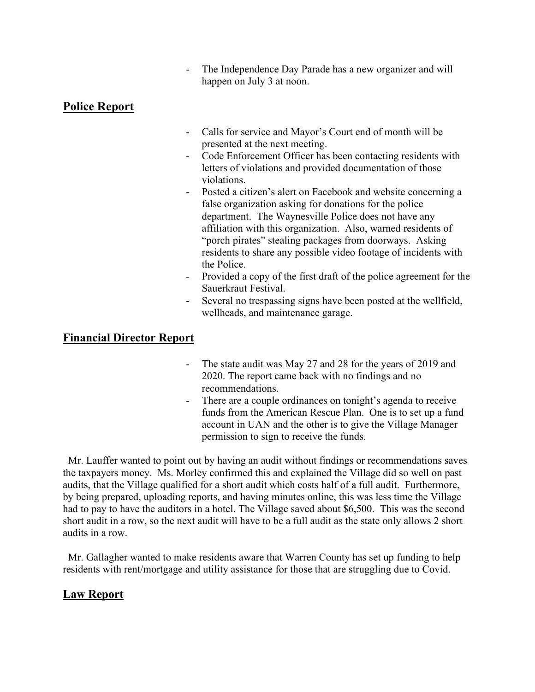The Independence Day Parade has a new organizer and will happen on July 3 at noon.

# **Police Report**

- Calls for service and Mayor's Court end of month will be presented at the next meeting.
- Code Enforcement Officer has been contacting residents with letters of violations and provided documentation of those violations.
- Posted a citizen's alert on Facebook and website concerning a false organization asking for donations for the police department. The Waynesville Police does not have any affiliation with this organization. Also, warned residents of "porch pirates" stealing packages from doorways. Asking residents to share any possible video footage of incidents with the Police.
- Provided a copy of the first draft of the police agreement for the Sauerkraut Festival.
- Several no trespassing signs have been posted at the wellfield, wellheads, and maintenance garage.

# **Financial Director Report**

- The state audit was May 27 and 28 for the years of 2019 and 2020. The report came back with no findings and no recommendations.
- There are a couple ordinances on tonight's agenda to receive funds from the American Rescue Plan. One is to set up a fund account in UAN and the other is to give the Village Manager permission to sign to receive the funds.

 Mr. Lauffer wanted to point out by having an audit without findings or recommendations saves the taxpayers money. Ms. Morley confirmed this and explained the Village did so well on past audits, that the Village qualified for a short audit which costs half of a full audit. Furthermore, by being prepared, uploading reports, and having minutes online, this was less time the Village had to pay to have the auditors in a hotel. The Village saved about \$6,500. This was the second short audit in a row, so the next audit will have to be a full audit as the state only allows 2 short audits in a row.

 Mr. Gallagher wanted to make residents aware that Warren County has set up funding to help residents with rent/mortgage and utility assistance for those that are struggling due to Covid.

# **Law Report**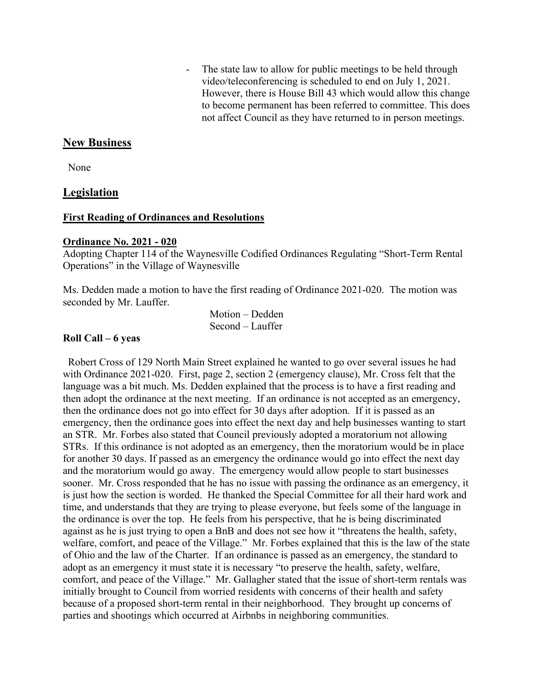- The state law to allow for public meetings to be held through video/teleconferencing is scheduled to end on July 1, 2021. However, there is House Bill 43 which would allow this change to become permanent has been referred to committee. This does not affect Council as they have returned to in person meetings.

## **New Business**

None

## **Legislation**

#### **First Reading of Ordinances and Resolutions**

#### **Ordinance No. 2021 - 020**

Adopting Chapter 114 of the Waynesville Codified Ordinances Regulating "Short-Term Rental Operations" in the Village of Waynesville

Ms. Dedden made a motion to have the first reading of Ordinance 2021-020. The motion was seconded by Mr. Lauffer.

> Motion – Dedden Second – Lauffer

#### **Roll Call – 6 yeas**

 Robert Cross of 129 North Main Street explained he wanted to go over several issues he had with Ordinance 2021-020. First, page 2, section 2 (emergency clause), Mr. Cross felt that the language was a bit much. Ms. Dedden explained that the process is to have a first reading and then adopt the ordinance at the next meeting. If an ordinance is not accepted as an emergency, then the ordinance does not go into effect for 30 days after adoption. If it is passed as an emergency, then the ordinance goes into effect the next day and help businesses wanting to start an STR. Mr. Forbes also stated that Council previously adopted a moratorium not allowing STRs. If this ordinance is not adopted as an emergency, then the moratorium would be in place for another 30 days. If passed as an emergency the ordinance would go into effect the next day and the moratorium would go away. The emergency would allow people to start businesses sooner. Mr. Cross responded that he has no issue with passing the ordinance as an emergency, it is just how the section is worded. He thanked the Special Committee for all their hard work and time, and understands that they are trying to please everyone, but feels some of the language in the ordinance is over the top. He feels from his perspective, that he is being discriminated against as he is just trying to open a BnB and does not see how it "threatens the health, safety, welfare, comfort, and peace of the Village." Mr. Forbes explained that this is the law of the state of Ohio and the law of the Charter. If an ordinance is passed as an emergency, the standard to adopt as an emergency it must state it is necessary "to preserve the health, safety, welfare, comfort, and peace of the Village." Mr. Gallagher stated that the issue of short-term rentals was initially brought to Council from worried residents with concerns of their health and safety because of a proposed short-term rental in their neighborhood. They brought up concerns of parties and shootings which occurred at Airbnbs in neighboring communities.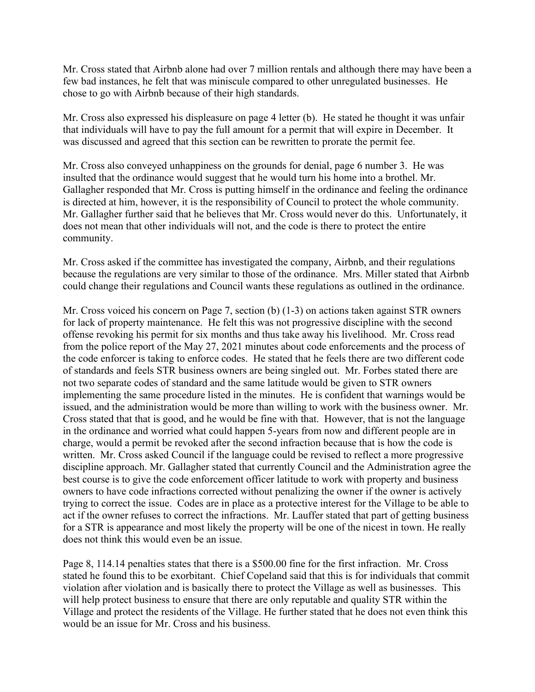Mr. Cross stated that Airbnb alone had over 7 million rentals and although there may have been a few bad instances, he felt that was miniscule compared to other unregulated businesses. He chose to go with Airbnb because of their high standards.

Mr. Cross also expressed his displeasure on page 4 letter (b). He stated he thought it was unfair that individuals will have to pay the full amount for a permit that will expire in December. It was discussed and agreed that this section can be rewritten to prorate the permit fee.

Mr. Cross also conveyed unhappiness on the grounds for denial, page 6 number 3. He was insulted that the ordinance would suggest that he would turn his home into a brothel. Mr. Gallagher responded that Mr. Cross is putting himself in the ordinance and feeling the ordinance is directed at him, however, it is the responsibility of Council to protect the whole community. Mr. Gallagher further said that he believes that Mr. Cross would never do this. Unfortunately, it does not mean that other individuals will not, and the code is there to protect the entire community.

Mr. Cross asked if the committee has investigated the company, Airbnb, and their regulations because the regulations are very similar to those of the ordinance. Mrs. Miller stated that Airbnb could change their regulations and Council wants these regulations as outlined in the ordinance.

Mr. Cross voiced his concern on Page 7, section (b) (1-3) on actions taken against STR owners for lack of property maintenance. He felt this was not progressive discipline with the second offense revoking his permit for six months and thus take away his livelihood. Mr. Cross read from the police report of the May 27, 2021 minutes about code enforcements and the process of the code enforcer is taking to enforce codes. He stated that he feels there are two different code of standards and feels STR business owners are being singled out. Mr. Forbes stated there are not two separate codes of standard and the same latitude would be given to STR owners implementing the same procedure listed in the minutes. He is confident that warnings would be issued, and the administration would be more than willing to work with the business owner. Mr. Cross stated that that is good, and he would be fine with that. However, that is not the language in the ordinance and worried what could happen 5-years from now and different people are in charge, would a permit be revoked after the second infraction because that is how the code is written. Mr. Cross asked Council if the language could be revised to reflect a more progressive discipline approach. Mr. Gallagher stated that currently Council and the Administration agree the best course is to give the code enforcement officer latitude to work with property and business owners to have code infractions corrected without penalizing the owner if the owner is actively trying to correct the issue. Codes are in place as a protective interest for the Village to be able to act if the owner refuses to correct the infractions. Mr. Lauffer stated that part of getting business for a STR is appearance and most likely the property will be one of the nicest in town. He really does not think this would even be an issue.

Page 8, 114.14 penalties states that there is a \$500.00 fine for the first infraction. Mr. Cross stated he found this to be exorbitant. Chief Copeland said that this is for individuals that commit violation after violation and is basically there to protect the Village as well as businesses. This will help protect business to ensure that there are only reputable and quality STR within the Village and protect the residents of the Village. He further stated that he does not even think this would be an issue for Mr. Cross and his business.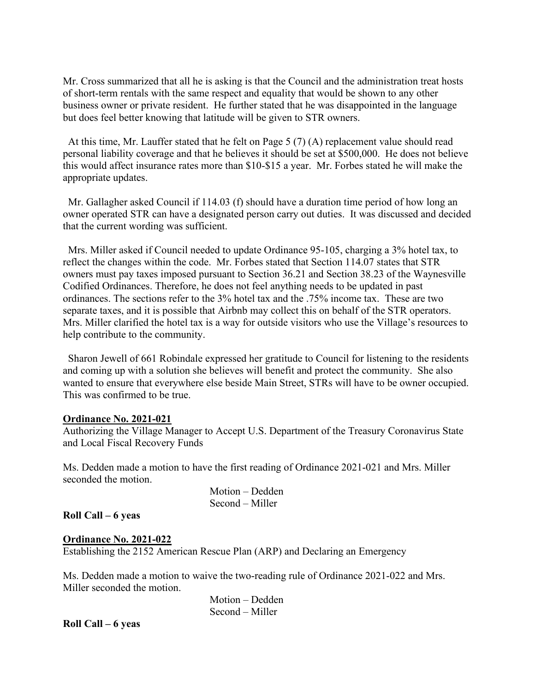Mr. Cross summarized that all he is asking is that the Council and the administration treat hosts of short-term rentals with the same respect and equality that would be shown to any other business owner or private resident. He further stated that he was disappointed in the language but does feel better knowing that latitude will be given to STR owners.

 At this time, Mr. Lauffer stated that he felt on Page 5 (7) (A) replacement value should read personal liability coverage and that he believes it should be set at \$500,000. He does not believe this would affect insurance rates more than \$10-\$15 a year. Mr. Forbes stated he will make the appropriate updates.

 Mr. Gallagher asked Council if 114.03 (f) should have a duration time period of how long an owner operated STR can have a designated person carry out duties. It was discussed and decided that the current wording was sufficient.

 Mrs. Miller asked if Council needed to update Ordinance 95-105, charging a 3% hotel tax, to reflect the changes within the code. Mr. Forbes stated that Section 114.07 states that STR owners must pay taxes imposed pursuant to Section 36.21 and Section 38.23 of the Waynesville Codified Ordinances. Therefore, he does not feel anything needs to be updated in past ordinances. The sections refer to the 3% hotel tax and the .75% income tax. These are two separate taxes, and it is possible that Airbnb may collect this on behalf of the STR operators. Mrs. Miller clarified the hotel tax is a way for outside visitors who use the Village's resources to help contribute to the community.

 Sharon Jewell of 661 Robindale expressed her gratitude to Council for listening to the residents and coming up with a solution she believes will benefit and protect the community. She also wanted to ensure that everywhere else beside Main Street, STRs will have to be owner occupied. This was confirmed to be true.

#### **Ordinance No. 2021-021**

Authorizing the Village Manager to Accept U.S. Department of the Treasury Coronavirus State and Local Fiscal Recovery Funds

Ms. Dedden made a motion to have the first reading of Ordinance 2021-021 and Mrs. Miller seconded the motion.

| Motion – Dedden |
|-----------------|
| Second – Miller |

**Roll Call – 6 yeas**

#### **Ordinance No. 2021-022**

Establishing the 2152 American Rescue Plan (ARP) and Declaring an Emergency

Ms. Dedden made a motion to waive the two-reading rule of Ordinance 2021-022 and Mrs. Miller seconded the motion.

> Motion – Dedden Second – Miller

**Roll Call – 6 yeas**